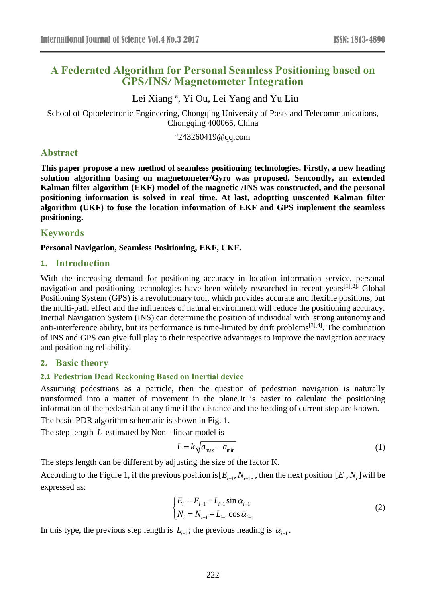# **A Federated Algorithm for Personal Seamless Positioning based on GPS/INS/ Magnetometer Integration**

Lei Xiang<sup>a</sup>, Yi Ou, Lei Yang and Yu Liu

School of Optoelectronic Engineering, Chongqing University of Posts and Telecommunications, Chongqing 400065, China

a 243260419@qq.com

# **Abstract**

**This paper propose a new method of seamless positioning technologies. Firstly, a new heading solution algorithm basing on magnetometer/Gyro was proposed. Sencondly, an extended Kalman filter algorithm (EKF) model of the magnetic /INS was constructed, and the personal positioning information is solved in real time. At last, adoptting unscented Kalman filter algorithm (UKF) to fuse the location information of EKF and GPS implement the seamless positioning.**

# **Keywords**

### **Personal Navigation, Seamless Positioning, EKF, UKF.**

### **1. Introduction**

With the increasing demand for positioning accuracy in location information service, personal navigation and positioning technologies have been widely researched in recent years<sup>[1][2].</sup> Global Positioning System (GPS) is a revolutionary tool, which provides accurate and flexible positions, but the multi-path effect and the influences of natural environment will reduce the positioning accuracy. Inertial Navigation System (INS) can determine the position of individual with strong autonomy and anti-interference ability, but its performance is time-limited by drift problems[3][4]. The combination of INS and GPS can give full play to their respective advantages to improve the navigation accuracy and positioning reliability.

### **2. Basic theory**

### **2.1 Pedestrian Dead Reckoning Based on Inertial device**

Assuming pedestrians as a particle, then the question of pedestrian navigation is naturally transformed into a matter of movement in the plane.It is easier to calculate the positioning information of the pedestrian at any time if the distance and the heading of current step are known.

The basic PDR algorithm schematic is shown in Fig. 1.

The step length *L* estimated by Non - linear model is

$$
L = k \sqrt{a_{\text{max}} - a_{\text{min}}} \tag{1}
$$

The steps length can be different by adjusting the size of the factor K.

According to the Figure 1, if the previous position is  $[E_{i-1}, N_{i-1}]$ , then the next position  $[E_i, N_i]$  will be expressed as:

$$
\begin{cases} E_i = E_{i-1} + L_{i-1} \sin \alpha_{i-1} \\ N_i = N_{i-1} + L_{i-1} \cos \alpha_{i-1} \end{cases}
$$
 (2)

In this type, the previous step length is  $L_{i-1}$ ; the previous heading is  $\alpha_{i-1}$ .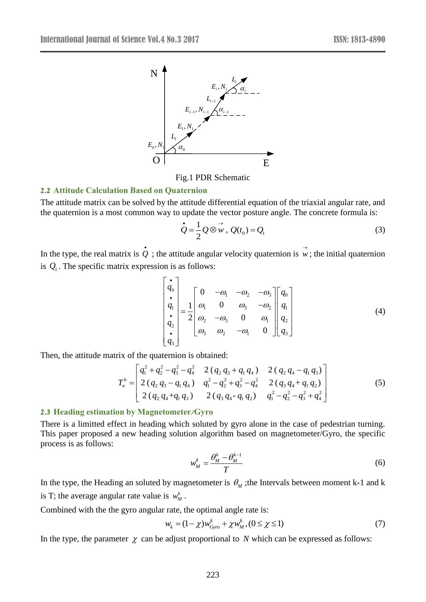

Fig.1 PDR Schematic

#### **2.2 Attitude Calculation Based on Quaternion**

The attitude matrix can be solved by the attitude differential equation of the triaxial angular rate, and the quaternion is a most common way to update the vector posture angle. The concrete formula is:

$$
\dot{Q} = \frac{1}{2} Q \otimes \vec{w}, \ Q(t_0) = Q_1 \tag{3}
$$

In the type, the real matrix is  $\dot{Q}$ ; the attitude angular velocity quaternion is  $\vec{w}$ ; the initial quaternion is  $Q_1$ . The specific matrix expression is as follows:

$$
\begin{bmatrix}\n\mathbf{i} \\
q_0 \\
\mathbf{i} \\
q_1 \\
\mathbf{i} \\
q_2 \\
\mathbf{j} \\
q_3\n\end{bmatrix} = \frac{1}{2} \begin{bmatrix}\n0 & -\omega_1 & -\omega_2 & -\omega_3 \\
\omega_1 & 0 & \omega_3 & -\omega_2 \\
\omega_2 & -\omega_3 & 0 & \omega_1 \\
\omega_3 & \omega_2 & -\omega_1 & 0\n\end{bmatrix} \begin{bmatrix}\nq_0 \\
q_1 \\
q_2 \\
q_3\n\end{bmatrix}
$$
\n(4)

Then, the attitude matrix of the quaternion is obtained:<br> $\int q_1^2 + q_2^2 - q_2^2 - q_3^2 = 2 (q_2 q_1 + q_2^2 + q_3^2 + q_4^2)$ 

Fix of the quaternion is obtained:  
\n
$$
T_n^b = \begin{bmatrix} q_1^2 + q_2^2 - q_3^2 - q_4^2 & 2 (q_2 q_3 + q_1 q_4) & 2 (q_2 q_4 - q_1 q_3) \\ 2 (q_2 q_3 - q_1 q_4) & q_1^2 - q_2^2 + q_3^2 - q_4^2 & 2 (q_3 q_4 + q_1 q_2) \\ 2 (q_2 q_4 + q_1 q_3) & 2 (q_3 q_4 - q_1 q_2) & q_1^2 - q_2^2 - q_3^2 + q_4^2 \end{bmatrix}
$$
\n(5)

#### **2.3 Heading estimation by Magnetometer/Gyro**

There is a limitted effect in heading which soluted by gyro alone in the case of pedestrian turning. This paper proposed a new heading solution algorithm based on magnetometer/Gyro, the specific process is as follows:

$$
w_M^k = \frac{\theta_M^k - \theta_M^{k-1}}{T}
$$
 (6)

In the type, the Heading an soluted by magnetometer is  $\theta_M$ ; the Intervals between moment k-1 and k is T; the average angular rate value is  $w_M^k$ .

Combined with the the gyro angular rate, the optimal angle rate is:

$$
w_k = (1 - \chi)w_{Gyc}^k + \chi w_M^k, (0 \le \chi \le 1)
$$
\n(7)

In the type, the parameter  $\chi$  can be adjust proportional to N which can be expressed as follows: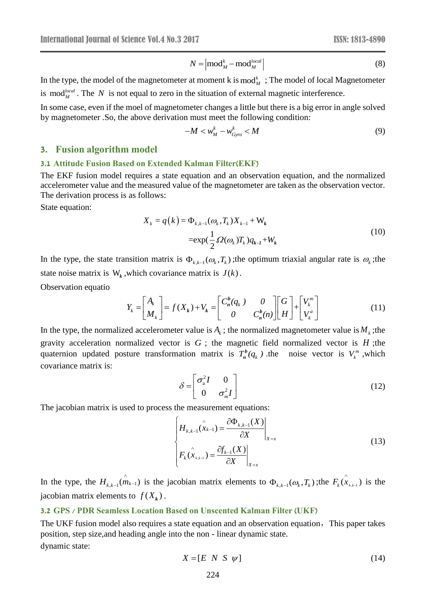$$
N = \left| \text{mod}_{M}^{k} - \text{mod}_{M}^{local} \right| \tag{8}
$$

In the type, the model of the magnetometer at moment k is  $mod_M^k$ ; The model of local Magnetometer is mod<sup>*local*</sup>. The N is not equal to zero in the situation of external magnetic interference.

In some case, even if the moel of magnetometer changes a little but there is a big error in angle solved by magnetometer .So, the above derivation must meet the following condition:

$$
-M < w_M^k - w_{Gyro}^k < M \tag{9}
$$

### **3. Fusion algorithm model**

#### **3.1 Attitude Fusion Based on Extended Kalman Filter(EKF)**

The EKF fusion model requires a state equation and an observation equation, and the normalized accelerometer value and the measured value of the magnetometer are taken as the observation vector. The derivation process is as follows:

State equation:

$$
X_{k} = q(k) = \Phi_{k,k-1}(\omega_{k}, T_{k})X_{k-1} + W_{k}
$$
  
= exp( $\frac{1}{2}\Omega(\omega_{k})T_{k})q_{k-1} + W_{k}$  (10)

In the type, the state transition matrix is  $\Phi_{k,k-1}(\omega_k, T_k)$ ; the optimum triaxial angular rate is  $\omega_k$ ; the state noise matrix is  $W_k$ , which covariance matrix is  $J(k)$ .

Observation equatio

$$
Y_k = \begin{bmatrix} A_k \\ M_k \end{bmatrix} = f(X_k) + V_k = \begin{bmatrix} C_n^b(q_k) & 0 \\ 0 & C_n^b(n) \end{bmatrix} \begin{bmatrix} G \\ H \end{bmatrix} + \begin{bmatrix} V_k^m \\ V_k^a \end{bmatrix}
$$
(11)

In the type, the normalized accelerometer value is  $A_k$ ; the normalized magnetometer value is  $M_k$ ; the gravity acceleration normalized vector is  $G$ ; the magnetic field normalized vector is  $H$ ; the quaternion updated posture transformation matrix is  $T_n^b(q_k)$  $\int_{\mathbf{R}}^{\mathbf{b}}(q_k)$  the noise vector is  $V_k^m$ , which covariance matrix is:

$$
\delta = \begin{bmatrix} \sigma_{\rm a}^2 I & 0 \\ 0 & \sigma_{\rm m}^2 I \end{bmatrix} \tag{12}
$$

The jacobian matrix is used to process the measurement equations:

$$
N = |\text{mod}_{M}^{k} - \text{mod}_{M}^{local}|
$$
\n(8)  
\n
$$
\text{eter at moment k is mod}_{M}^{k}; \text{ The model of local Magnetic meter}
$$
\nin the situation of external magnetic interference.\n\neto  
\n
$$
-M < w_{M}^{k} - w_{\text{Oym}}^{k} < M
$$
\n(9)  
\n
$$
-M < w_{M}^{k} - w_{\text{Oym}}^{k} < M
$$
\n(9)  
\n**ed Kalman Filter (EKF)**\n(e equation and an observation equation, and the normalized  
\nvalue of the magnetometer are taken as the observation vector.\n\n
$$
\text{where } \frac{1}{2} \Omega(\omega_{k}) T_{k}) X_{k-1} + W_{k}
$$
\n
$$
= \exp(\frac{1}{2} \Omega(\omega_{k}) T_{k}) Y_{k-1} + W_{k}
$$
\nis  $\Phi_{k,k-1}(\omega_{k}, T_{k})$ ; the optimum triaxial angular rate is  $\omega_{k}$ ; the  
\nance matrix is  $J(k)$ .\n\n
$$
f(X_{k}) + V_{k} = \begin{bmatrix} C_{n}^{k}(q_{k}) & 0 \\ 0 & C_{n}^{k}(n) \end{bmatrix} \begin{bmatrix} G \\ H \end{bmatrix} + \begin{bmatrix} V_{k}^{m} \\ V_{k}^{a} \end{bmatrix}
$$
\n(11)  
\n
$$
\text{for is } G \text{; the magnetic field normalized vector is } H \text{, the\nmotion matrix is } T_{n}^{k}(q_{k}) \text{, the noise vector is } W_{k}^{m}, \text{which}
$$
\n
$$
\delta = \begin{bmatrix} \sigma_{a}^{2}I & 0 \\ 0 & \sigma_{m}^{2}I \end{bmatrix}
$$
\n(12)  
\nthe measurement equations:\n
$$
\begin{cases}\nH_{k,k-1}(\hat{x}_{k-1}) = \frac{\partial \Phi_{k,k-1}(X)}{\partial X} \Big|_{X=x} & (13)\nF_{k}(\hat{x}_{k,k-1}) = \frac{\partial f_{k-1}(X)}{\partial X} \Big|_{X=x} & (13)\nF_{k}(\hat{x}_{k,k-1}) = \frac{\partial f_{k-1}(X)}{\partial X} \Big|_{X=x} & (13)\nstate equation and an observation equation.
$$

In the type, the  $H_{k,k-1}(\hat{m}_{k-1})$  $\hat{m}_{k-1}(\hat{m}_{k-1})$  is the jacobian matrix elements to  $\Phi_{k,k-1}(\omega_k, T_k)$ ; the  $F_k(\hat{x}_{k,k-1})$  is the jacobian matrix elements to  $f(X_k)$ .

#### **3.2 GPS / PDR Seamless Location Based on Unscented Kalman Filter (UKF)**

The UKF fusion model also requires a state equation and an observation equation,This paper takes position, step size,and heading angle into the non - linear dynamic state. dynamic state:

$$
X = [E \ N \ S \ \psi] \tag{14}
$$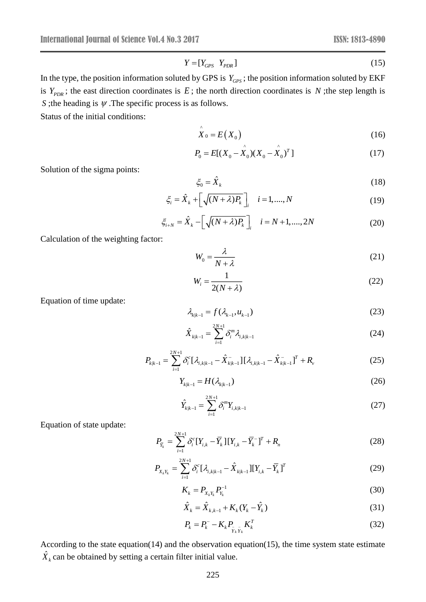$$
Y = [Y_{GPS} \ Y_{PDR}] \tag{15}
$$

 $Y = [Y_{GPS} Y_{PDR}]$ <br>
d by GPS is  $Y_{G.}$ <br>
d by GPS is  $Y_{G.}$ <br>
E; the north dis<br>
is as follows.<br>  $\hat{X}_0 = E(X_0 -$ <br>  $\zeta_0 = \hat{X}_k$ <br>  $\hat{Y}_k + [\sqrt{(N + \lambda)}]$ <br>  $\hat{X}_k - [\sqrt{(N + \lambda)}]$ <br>  $W_0 = \frac{\lambda}{N + \lambda}$ <br>  $W_i = \frac{1}{2(N + \lambda)}$ <br>  $\lambda_{k|k-1} = f(\lambda_{k-1},$ <br> In the type, the position information soluted by GPS is  $Y_{\text{GPS}}$ ; the position information soluted by EKF is  $Y_{PDR}$ ; the east direction coordinates is E; the north direction coordinates is N; the step length is *S* ; the heading is  $\psi$ . The specific process is as follows.

 $\wedge$ 

Status of the initial conditions:

$$
X_0 = E(X_0) \tag{16}
$$

$$
P_0 = E[(X_0 - \hat{X}_0)(X_0 - \hat{X}_0)^T]
$$
\n(17)

Solution of the sigma points:

$$
\xi_0 = \hat{X}_k \tag{18}
$$

$$
\xi_i = \hat{X}_k + \left[\sqrt{(N+\lambda)P_k}\right]_i \quad i=1,\dots,N
$$
\n(19)

$$
\xi_{i+N} = \hat{X}_k - \left[ \sqrt{(N+\lambda)P_k} \right]_i \quad i = N+1, ..., 2N \tag{20}
$$

Calculation of the weighting factor:

$$
W_0 = \frac{\lambda}{N + \lambda} \tag{21}
$$

$$
W_i = \frac{1}{2(N+\lambda)}\tag{22}
$$

Equation of time update:

$$
\lambda_{k|k-1} = f(\lambda_{k-1}, u_{k-1})
$$
\n(23)

$$
\hat{X}_{k|k-1} = \sum_{i=1}^{2N+1} \delta_i^m \lambda_{i,k|k-1}
$$
 (24)

$$
P_{k|k-1} = \sum_{i=1}^{2N+1} \delta_i^c [\lambda_{i,k|k-1} - \hat{X}_{k|k-1}] [\lambda_{i,k|k-1} - \hat{X}_{k|k-1}]^T + R_{\nu}
$$
 (25)

$$
Y_{k|k-1} = H(\lambda_{k|k-1})
$$
\n<sup>(26)</sup>

$$
\hat{Y}_{k|k-1} = \sum_{i=1}^{2N+1} \delta_i^m Y_{i,k|k-1}
$$
\n(27)

Equation of state update:

$$
P_{\bar{Y}_k} = \sum_{i=1}^{2N+1} \delta_i^c [Y_{i,k} - \bar{Y}_k] [Y_{i,k} - \bar{Y}_k^-]^T + R_n
$$
 (28)

$$
P_{X_k Y_k} = \sum_{i=1}^{2N+1} \delta_i^c [\lambda_{i,k|k-1} - \hat{X}_{k|k-1}] [Y_{i,k} - \overline{Y}_k]^T
$$
 (29)

$$
K_k = P_{X_k Y_k} P_{Y_k}^{-1} \tag{30}
$$

$$
\hat{X}_{k} = \hat{X}_{k,k-1} + K_{k}(Y_{k} - \hat{Y}_{k})
$$
\n(31)

$$
P_k = P_k^- - K_k P_{\bar{Y}_k \bar{Y}_k} K_k^T
$$
 (32)

According to the state equation(14) and the observation equation(15), the time system state estimate  $\hat{X}_k$  can be obtained by setting a certain filter initial value.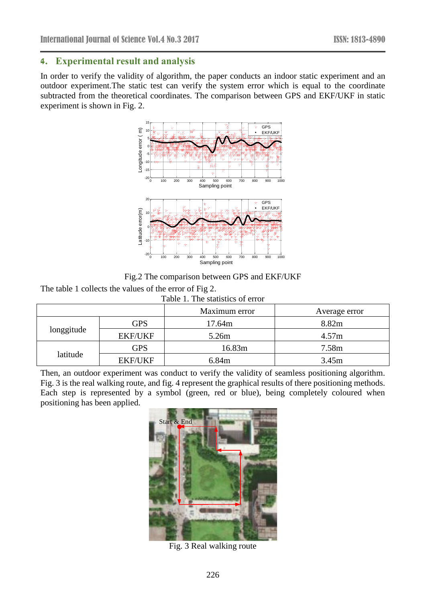### **4. Experimental result and analysis**

In order to verify the validity of algorithm, the paper conducts an indoor static experiment and an outdoor experiment.The static test can verify the system error which is equal to the coordinate subtracted from the theoretical coordinates. The comparison between GPS and EKF/UKF in static experiment is shown in Fig. 2.



Fig.2 The comparison between GPS and EKF/UKF

The table 1 collects the values of the error of Fig 2.

|  | Table 1. The statistics of error |  |
|--|----------------------------------|--|
|  |                                  |  |

|            |                | Maximum error | Average error |  |
|------------|----------------|---------------|---------------|--|
| longgitude | <b>GPS</b>     | 17.64m        | 8.82m         |  |
|            | <b>EKF/UKF</b> | 5.26m         | 4.57m         |  |
| latitude   | GPS            | 16.83m        | 7.58m         |  |
|            | <b>EKF/UKF</b> | 6.84m         | 3.45m         |  |

Then, an outdoor experiment was conduct to verify the validity of seamless positioning algorithm. Fig. 3 is the real walking route, and fig. 4 represent the graphical results of there positioning methods. Each step is represented by a symbol (green, red or blue), being completely coloured when positioning has been applied.



Fig. 3 Real walking route